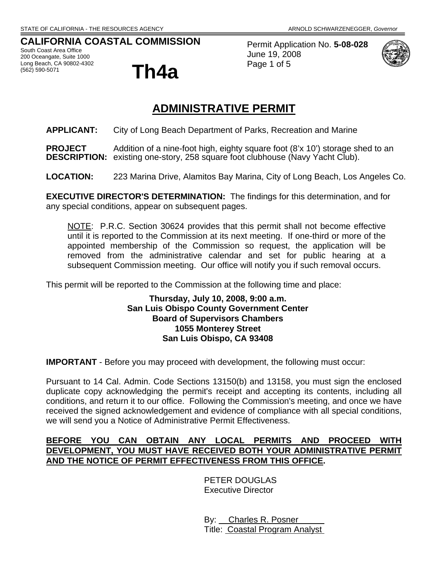# **CALIFORNIA COASTAL COMMISSION**

South Coast Area Office 200 Oceangate, Suite 1000 Long Beach, CA 90802-4302 (562) 590-5071 **Th4a**



Permit Application No. **5-08-028** June 19, 2008 Page 1 of 5



# **ADMINISTRATIVE PERMIT**

**APPLICANT:** City of Long Beach Department of Parks, Recreation and Marine

**PROJECT** Addition of a nine-foot high, eighty square foot (8'x 10') storage shed to an **DESCRIPTION:** existing one-story, 258 square foot clubhouse (Navy Yacht Club).

**LOCATION:** 223 Marina Drive, Alamitos Bay Marina, City of Long Beach, Los Angeles Co.

**EXECUTIVE DIRECTOR'S DETERMINATION:** The findings for this determination, and for any special conditions, appear on subsequent pages.

NOTE: P.R.C. Section 30624 provides that this permit shall not become effective until it is reported to the Commission at its next meeting. If one-third or more of the appointed membership of the Commission so request, the application will be removed from the administrative calendar and set for public hearing at a subsequent Commission meeting. Our office will notify you if such removal occurs.

This permit will be reported to the Commission at the following time and place:

#### **Thursday, July 10, 2008, 9:00 a.m. San Luis Obispo County Government Center Board of Supervisors Chambers 1055 Monterey Street San Luis Obispo, CA 93408**

**IMPORTANT** - Before you may proceed with development, the following must occur:

Pursuant to 14 Cal. Admin. Code Sections 13150(b) and 13158, you must sign the enclosed duplicate copy acknowledging the permit's receipt and accepting its contents, including all conditions, and return it to our office. Following the Commission's meeting, and once we have received the signed acknowledgement and evidence of compliance with all special conditions, we will send you a Notice of Administrative Permit Effectiveness.

# **BEFORE YOU CAN OBTAIN ANY LOCAL PERMITS AND PROCEED WITH DEVELOPMENT, YOU MUST HAVE RECEIVED BOTH YOUR ADMINISTRATIVE PERMIT AND THE NOTICE OF PERMIT EFFECTIVENESS FROM THIS OFFICE.**

 PETER DOUGLAS Executive Director

 By: Charles R. Posner Title: Coastal Program Analyst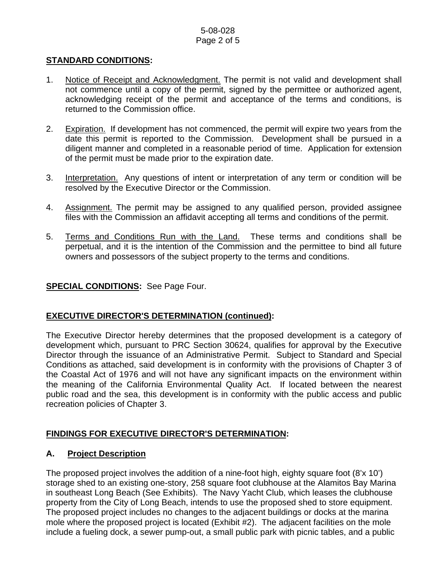#### 5-08-028 Page 2 of 5

### **STANDARD CONDITIONS:**

- 1. Notice of Receipt and Acknowledgment. The permit is not valid and development shall not commence until a copy of the permit, signed by the permittee or authorized agent, acknowledging receipt of the permit and acceptance of the terms and conditions, is returned to the Commission office.
- 2. Expiration. If development has not commenced, the permit will expire two years from the date this permit is reported to the Commission. Development shall be pursued in a diligent manner and completed in a reasonable period of time. Application for extension of the permit must be made prior to the expiration date.
- 3. Interpretation. Any questions of intent or interpretation of any term or condition will be resolved by the Executive Director or the Commission.
- 4. Assignment. The permit may be assigned to any qualified person, provided assignee files with the Commission an affidavit accepting all terms and conditions of the permit.
- 5. Terms and Conditions Run with the Land. These terms and conditions shall be perpetual, and it is the intention of the Commission and the permittee to bind all future owners and possessors of the subject property to the terms and conditions.

#### **SPECIAL CONDITIONS:** See Page Four.

# **EXECUTIVE DIRECTOR'S DETERMINATION (continued):**

The Executive Director hereby determines that the proposed development is a category of development which, pursuant to PRC Section 30624, qualifies for approval by the Executive Director through the issuance of an Administrative Permit. Subject to Standard and Special Conditions as attached, said development is in conformity with the provisions of Chapter 3 of the Coastal Act of 1976 and will not have any significant impacts on the environment within the meaning of the California Environmental Quality Act. If located between the nearest public road and the sea, this development is in conformity with the public access and public recreation policies of Chapter 3.

# **FINDINGS FOR EXECUTIVE DIRECTOR'S DETERMINATION:**

#### **A. Project Description**

The proposed project involves the addition of a nine-foot high, eighty square foot (8'x 10') storage shed to an existing one-story, 258 square foot clubhouse at the Alamitos Bay Marina in southeast Long Beach (See Exhibits). The Navy Yacht Club, which leases the clubhouse property from the City of Long Beach, intends to use the proposed shed to store equipment. The proposed project includes no changes to the adjacent buildings or docks at the marina mole where the proposed project is located (Exhibit #2). The adjacent facilities on the mole include a fueling dock, a sewer pump-out, a small public park with picnic tables, and a public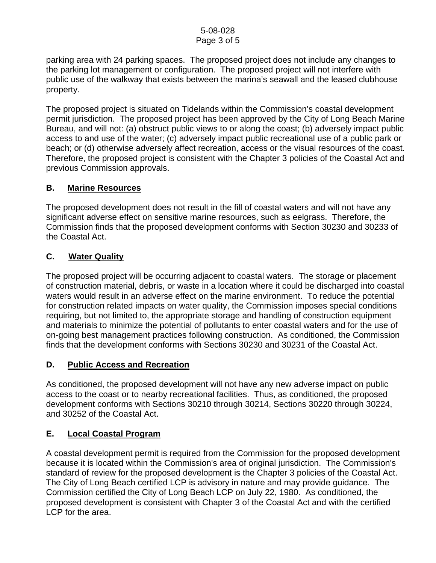#### 5-08-028 Page 3 of 5

parking area with 24 parking spaces. The proposed project does not include any changes to the parking lot management or configuration. The proposed project will not interfere with public use of the walkway that exists between the marina's seawall and the leased clubhouse property.

The proposed project is situated on Tidelands within the Commission's coastal development permit jurisdiction. The proposed project has been approved by the City of Long Beach Marine Bureau, and will not: (a) obstruct public views to or along the coast; (b) adversely impact public access to and use of the water; (c) adversely impact public recreational use of a public park or beach; or (d) otherwise adversely affect recreation, access or the visual resources of the coast. Therefore, the proposed project is consistent with the Chapter 3 policies of the Coastal Act and previous Commission approvals.

# **B. Marine Resources**

The proposed development does not result in the fill of coastal waters and will not have any significant adverse effect on sensitive marine resources, such as eelgrass. Therefore, the Commission finds that the proposed development conforms with Section 30230 and 30233 of the Coastal Act.

# **C. Water Quality**

The proposed project will be occurring adjacent to coastal waters. The storage or placement of construction material, debris, or waste in a location where it could be discharged into coastal waters would result in an adverse effect on the marine environment. To reduce the potential for construction related impacts on water quality, the Commission imposes special conditions requiring, but not limited to, the appropriate storage and handling of construction equipment and materials to minimize the potential of pollutants to enter coastal waters and for the use of on-going best management practices following construction. As conditioned, the Commission finds that the development conforms with Sections 30230 and 30231 of the Coastal Act.

#### **D. Public Access and Recreation**

As conditioned, the proposed development will not have any new adverse impact on public access to the coast or to nearby recreational facilities. Thus, as conditioned, the proposed development conforms with Sections 30210 through 30214, Sections 30220 through 30224, and 30252 of the Coastal Act.

# **E. Local Coastal Program**

A coastal development permit is required from the Commission for the proposed development because it is located within the Commission's area of original jurisdiction. The Commission's standard of review for the proposed development is the Chapter 3 policies of the Coastal Act. The City of Long Beach certified LCP is advisory in nature and may provide guidance. The Commission certified the City of Long Beach LCP on July 22, 1980. As conditioned, the proposed development is consistent with Chapter 3 of the Coastal Act and with the certified LCP for the area.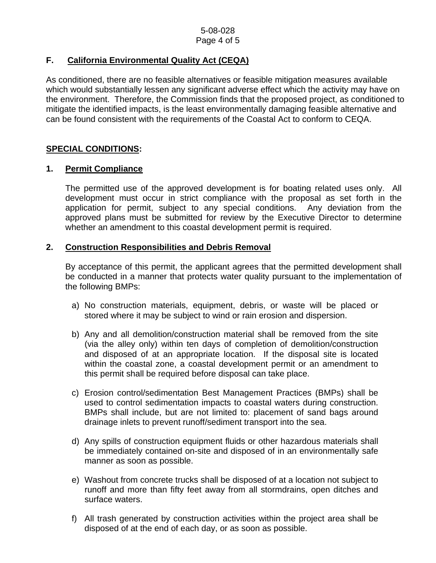# **F. California Environmental Quality Act (CEQA)**

As conditioned, there are no feasible alternatives or feasible mitigation measures available which would substantially lessen any significant adverse effect which the activity may have on the environment. Therefore, the Commission finds that the proposed project, as conditioned to mitigate the identified impacts, is the least environmentally damaging feasible alternative and can be found consistent with the requirements of the Coastal Act to conform to CEQA.

# **SPECIAL CONDITIONS:**

#### **1. Permit Compliance**

 The permitted use of the approved development is for boating related uses only. All development must occur in strict compliance with the proposal as set forth in the application for permit, subject to any special conditions. Any deviation from the approved plans must be submitted for review by the Executive Director to determine whether an amendment to this coastal development permit is required.

#### **2. Construction Responsibilities and Debris Removal**

By acceptance of this permit, the applicant agrees that the permitted development shall be conducted in a manner that protects water quality pursuant to the implementation of the following BMPs:

- a) No construction materials, equipment, debris, or waste will be placed or stored where it may be subject to wind or rain erosion and dispersion.
- b) Any and all demolition/construction material shall be removed from the site (via the alley only) within ten days of completion of demolition/construction and disposed of at an appropriate location. If the disposal site is located within the coastal zone, a coastal development permit or an amendment to this permit shall be required before disposal can take place.
- c) Erosion control/sedimentation Best Management Practices (BMPs) shall be used to control sedimentation impacts to coastal waters during construction. BMPs shall include, but are not limited to: placement of sand bags around drainage inlets to prevent runoff/sediment transport into the sea.
- d) Any spills of construction equipment fluids or other hazardous materials shall be immediately contained on-site and disposed of in an environmentally safe manner as soon as possible.
- e) Washout from concrete trucks shall be disposed of at a location not subject to runoff and more than fifty feet away from all stormdrains, open ditches and surface waters.
- f) All trash generated by construction activities within the project area shall be disposed of at the end of each day, or as soon as possible.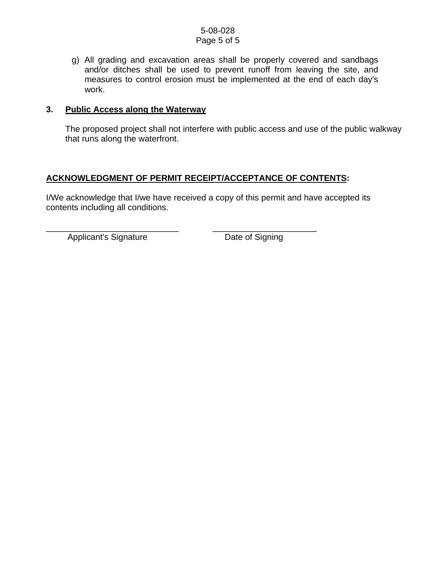#### 5-08-028 Page 5 of 5

g) All grading and excavation areas shall be properly covered and sandbags and/or ditches shall be used to prevent runoff from leaving the site, and measures to control erosion must be implemented at the end of each day's work.

### **3. Public Access along the Waterway**

The proposed project shall not interfere with public access and use of the public walkway that runs along the waterfront.

# **ACKNOWLEDGMENT OF PERMIT RECEIPT/ACCEPTANCE OF CONTENTS:**

I/We acknowledge that I/we have received a copy of this permit and have accepted its contents including all conditions.

Applicant's Signature Date of Signing

\_\_\_\_\_\_\_\_\_\_\_\_\_\_\_\_\_\_\_\_\_\_\_\_\_\_\_\_ \_\_\_\_\_\_\_\_\_\_\_\_\_\_\_\_\_\_\_\_\_\_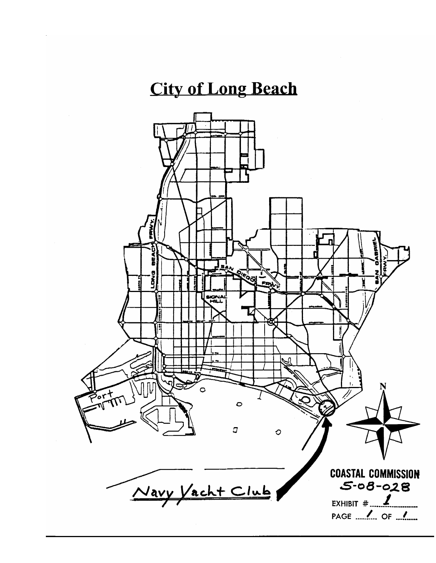# **City of Long Beach**

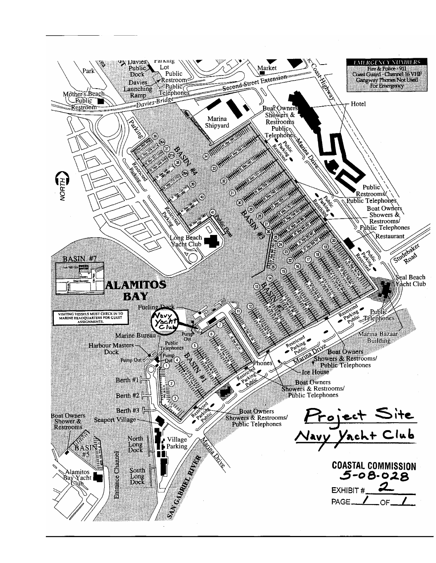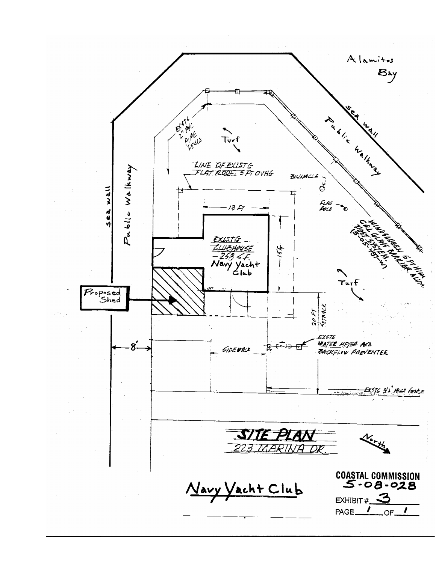